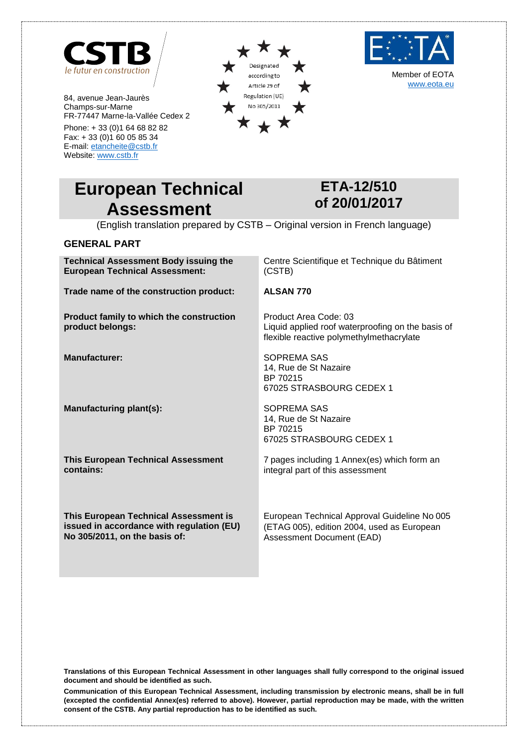

84, avenue Jean-Jaurès Champs-sur-Marne FR-77447 Marne-la-Vallée Cedex 2

Phone: + 33 (0)1 64 68 82 82 Fax: + 33 (0)1 60 05 85 34 E-mail[: etancheite@cstb.fr](mailto:etancheite@cstb.fr) Website[: www.cstb.fr](http://www.cstb.fr/)





Member of EOTA [www.eota.eu](http://www.eota.eu/)

# **European Technical Assessment**

**Technical Assessment Body issuing the** 

## <span id="page-0-0"></span>**ETA-12/510 of 20/01/2017**

(English translation prepared by CSTB – Original version in French language)

## **GENERAL PART**

| <b>Technical Assessment Body issuing the</b><br><b>European Technical Assessment:</b>                               | Centre Scientifique et Technique du Bâtiment<br>(CSTB)                                                                  |
|---------------------------------------------------------------------------------------------------------------------|-------------------------------------------------------------------------------------------------------------------------|
| Trade name of the construction product:                                                                             | <b>ALSAN 770</b>                                                                                                        |
| Product family to which the construction<br>product belongs:                                                        | Product Area Code: 03<br>Liquid applied roof waterproofing on the basis of<br>flexible reactive polymethylmethacrylate  |
| <b>Manufacturer:</b>                                                                                                | SOPREMA SAS<br>14, Rue de St Nazaire<br>BP 70215<br>67025 STRASBOURG CEDEX 1                                            |
| Manufacturing plant(s):                                                                                             | SOPREMA SAS<br>14, Rue de St Nazaire<br>BP 70215<br>67025 STRASBOURG CEDEX 1                                            |
| <b>This European Technical Assessment</b><br>contains:                                                              | 7 pages including 1 Annex(es) which form an<br>integral part of this assessment                                         |
| This European Technical Assessment is<br>issued in accordance with regulation (EU)<br>No 305/2011, on the basis of: | European Technical Approval Guideline No 005<br>(ETAG 005), edition 2004, used as European<br>Assessment Document (EAD) |

**Translations of this European Technical Assessment in other languages shall fully correspond to the original issued document and should be identified as such.**

**Communication of this European Technical Assessment, including transmission by electronic means, shall be in full (excepted the confidential Annex(es) referred to above). However, partial reproduction may be made, with the written consent of the CSTB. Any partial reproduction has to be identified as such.**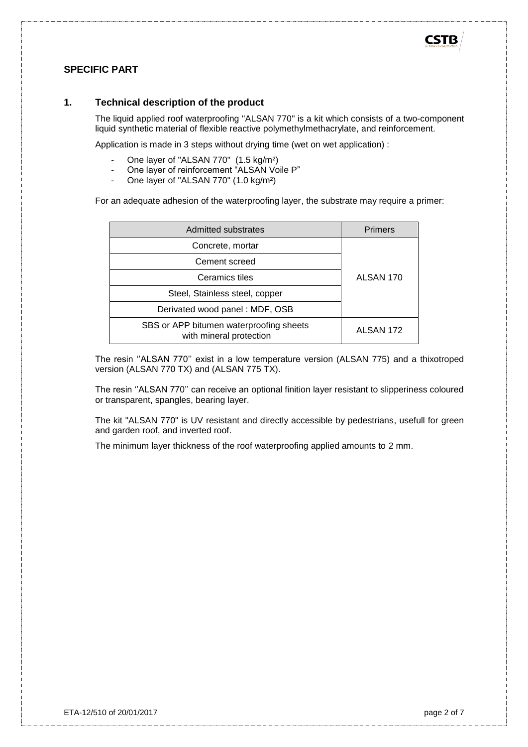

## **SPECIFIC PART**

#### **1. Technical description of the product**

The liquid applied roof waterproofing "ALSAN 770" is a kit which consists of a two-component liquid synthetic material of flexible reactive polymethylmethacrylate, and reinforcement.

Application is made in 3 steps without drying time (wet on wet application) :

- One layer of "ALSAN 770" (1.5 kg/m<sup>2</sup>)
- One layer of reinforcement "ALSAN Voile P"
- One layer of "ALSAN 770" (1.0 kg/m²)

For an adequate adhesion of the waterproofing layer, the substrate may require a primer:

| Admitted substrates                                                | <b>Primers</b> |  |
|--------------------------------------------------------------------|----------------|--|
| Concrete, mortar                                                   |                |  |
| Cement screed                                                      |                |  |
| Ceramics tiles<br>ALSAN 170                                        |                |  |
| Steel, Stainless steel, copper                                     |                |  |
| Derivated wood panel: MDF, OSB                                     |                |  |
| SBS or APP bitumen waterproofing sheets<br>with mineral protection | ALSAN 172      |  |

The resin ''ALSAN 770'' exist in a low temperature version (ALSAN 775) and a thixotroped version (ALSAN 770 TX) and (ALSAN 775 TX).

The resin ''ALSAN 770'' can receive an optional finition layer resistant to slipperiness coloured or transparent, spangles, bearing layer.

The kit "ALSAN 770" is UV resistant and directly accessible by pedestrians, usefull for green and garden roof, and inverted roof.

The minimum layer thickness of the roof waterproofing applied amounts to 2 mm.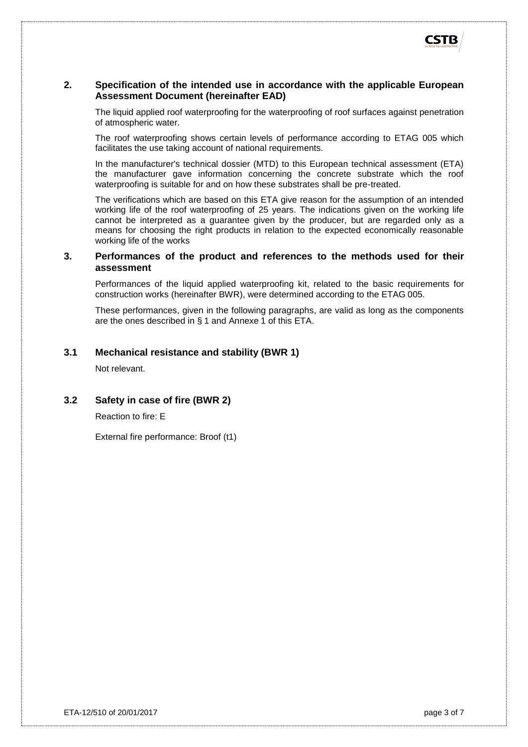#### **2. Specification of the intended use in accordance with the applicable European Assessment Document (hereinafter EAD)**

The liquid applied roof waterproofing for the waterproofing of roof surfaces against penetration of atmospheric water.

The roof waterproofing shows certain levels of performance according to ETAG 005 which facilitates the use taking account of national requirements.

In the manufacturer's technical dossier (MTD) to this European technical assessment (ETA) the manufacturer gave information concerning the concrete substrate which the roof waterproofing is suitable for and on how these substrates shall be pre-treated.

The verifications which are based on this ETA give reason for the assumption of an intended working life of the roof waterproofing of 25 years. The indications given on the working life cannot be interpreted as a guarantee given by the producer, but are regarded only as a means for choosing the right products in relation to the expected economically reasonable working life of the works

#### **3. Performances of the product and references to the methods used for their assessment**

Performances of the liquid applied waterproofing kit, related to the basic requirements for construction works (hereinafter BWR), were determined according to the ETAG 005.

These performances, given in the following paragraphs, are valid as long as the components are the ones described in § 1 and Annexe 1 of this ETA.

#### **3.1 Mechanical resistance and stability (BWR 1)**

Not relevant.

**3.2 Safety in case of fire (BWR 2)**

Reaction to fire: E

External fire performance: Broof (t1)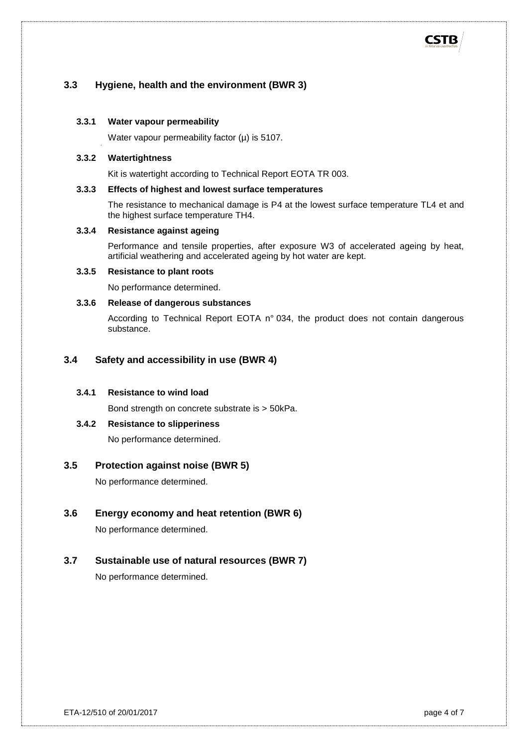## **3.3 Hygiene, health and the environment (BWR 3)**

#### **3.3.1 Water vapour permeability**

Water vapour permeability factor  $(\mu)$  is 5107.

#### **3.3.2 Watertightness**

Kit is watertight according to Technical Report EOTA TR 003.

#### **3.3.3 Effects of highest and lowest surface temperatures**

The resistance to mechanical damage is P4 at the lowest surface temperature TL4 et and the highest surface temperature TH4.

#### **3.3.4 Resistance against ageing**

Performance and tensile properties, after exposure W3 of accelerated ageing by heat, artificial weathering and accelerated ageing by hot water are kept.

#### **3.3.5 Resistance to plant roots**

No performance determined.

#### **3.3.6 Release of dangerous substances**

According to Technical Report EOTA n° 034, the product does not contain dangerous substance.

#### **3.4 Safety and accessibility in use (BWR 4)**

#### **3.4.1 Resistance to wind load**

Bond strength on concrete substrate is > 50kPa.

#### **3.4.2 Resistance to slipperiness**

No performance determined.

#### **3.5 Protection against noise (BWR 5)**

No performance determined.

#### **3.6 Energy economy and heat retention (BWR 6)**

No performance determined.

#### **3.7 Sustainable use of natural resources (BWR 7)**

No performance determined.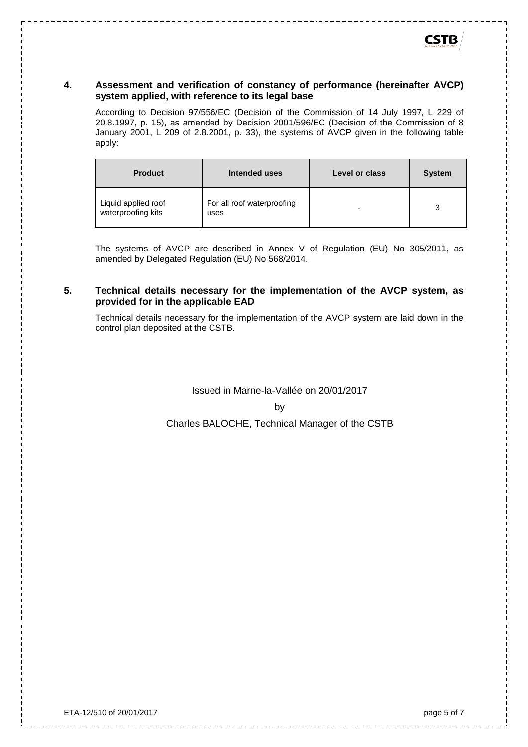## **4. Assessment and verification of constancy of performance (hereinafter AVCP) system applied, with reference to its legal base**

According to Decision 97/556/EC (Decision of the Commission of 14 July 1997, L 229 of 20.8.1997, p. 15), as amended by Decision 2001/596/EC (Decision of the Commission of 8 January 2001, L 209 of 2.8.2001, p. 33), the systems of AVCP given in the following table apply:

| <b>Product</b>                            | Intended uses                      | Level or class | <b>System</b> |
|-------------------------------------------|------------------------------------|----------------|---------------|
| Liquid applied roof<br>waterproofing kits | For all roof waterproofing<br>uses | -              | 3             |

The systems of AVCP are described in Annex V of Regulation (EU) No 305/2011, as amended by Delegated Regulation (EU) No 568/2014.

## **5. Technical details necessary for the implementation of the AVCP system, as provided for in the applicable EAD**

Technical details necessary for the implementation of the AVCP system are laid down in the control plan deposited at the CSTB.

Issued in Marne-la-Vallée on 20/01/2017

#### by

Charles BALOCHE, Technical Manager of the CSTB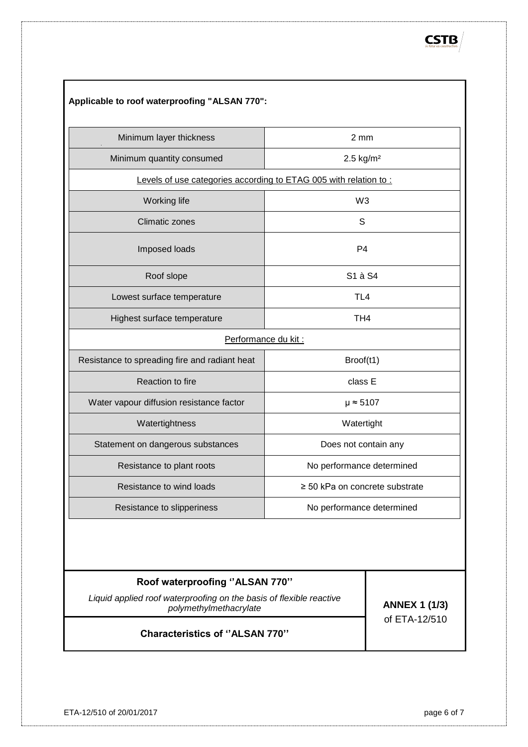| Applicable to roof waterproofing "ALSAN 770":                    |                                     |  |
|------------------------------------------------------------------|-------------------------------------|--|
| Minimum layer thickness                                          | 2 mm                                |  |
| Minimum quantity consumed                                        | $2.5 \text{ kg/m}^2$                |  |
| Levels of use categories according to ETAG 005 with relation to: |                                     |  |
| <b>Working life</b>                                              | W <sub>3</sub>                      |  |
| <b>Climatic zones</b>                                            | S                                   |  |
| Imposed loads                                                    | P4                                  |  |
| Roof slope                                                       | S1 à S4                             |  |
| Lowest surface temperature                                       | TL <sub>4</sub>                     |  |
| Highest surface temperature                                      | TH <sub>4</sub>                     |  |
| Performance du kit :                                             |                                     |  |
| Resistance to spreading fire and radiant heat                    | Broof(t1)                           |  |
| Reaction to fire                                                 | class E                             |  |
| Water vapour diffusion resistance factor                         | $\mu \approx 5107$                  |  |
| Watertightness                                                   | Watertight                          |  |
| Statement on dangerous substances                                | Does not contain any                |  |
| Resistance to plant roots                                        | No performance determined           |  |
| Resistance to wind loads                                         | $\geq$ 50 kPa on concrete substrate |  |
| Resistance to slipperiness                                       | No performance determined           |  |

## **Roof waterproofing ''ALSAN 770''**

*Liquid applied roof waterproofing on the basis of flexible reactive polymethylmethacrylate* **ANNEX 1 (1/3)**

of [ETA-12/510](#page-0-0)

**Characteristics of ''ALSAN 770''**